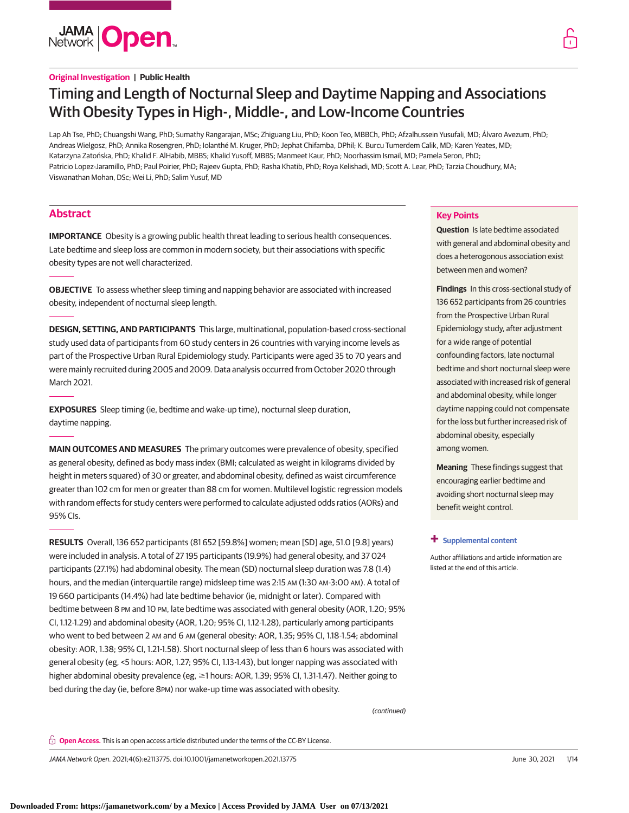

# Timing and Length of Nocturnal Sleep and Daytime Napping and Associations With Obesity Types in High-, Middle-, and Low-Income Countries

Lap Ah Tse, PhD; Chuangshi Wang, PhD; Sumathy Rangarajan, MSc; Zhiguang Liu, PhD; Koon Teo, MBBCh, PhD; Afzalhussein Yusufali, MD; Álvaro Avezum, PhD; Andreas Wielgosz, PhD; Annika Rosengren, PhD; Iolanthé M. Kruger, PhD; Jephat Chifamba, DPhil; K. Burcu Tumerdem Calik, MD; Karen Yeates, MD; Katarzyna Zatońska, PhD; Khalid F. AlHabib, MBBS; Khalid Yusoff, MBBS; Manmeet Kaur, PhD; Noorhassim Ismail, MD; Pamela Seron, PhD; Patricio Lopez-Jaramillo, PhD; Paul Poirier, PhD; Rajeev Gupta, PhD; Rasha Khatib, PhD; Roya Kelishadi, MD; Scott A. Lear, PhD; Tarzia Choudhury, MA; Viswanathan Mohan, DSc; Wei Li, PhD; Salim Yusuf, MD

# **Abstract**

**IMPORTANCE** Obesity is a growing public health threat leading to serious health consequences. Late bedtime and sleep loss are common in modern society, but their associations with specific obesity types are not well characterized.

**OBJECTIVE** To assess whether sleep timing and napping behavior are associated with increased obesity, independent of nocturnal sleep length.

**DESIGN, SETTING, AND PARTICIPANTS** This large, multinational, population-based cross-sectional study used data of participants from 60 study centers in 26 countries with varying income levels as part of the Prospective Urban Rural Epidemiology study. Participants were aged 35 to 70 years and were mainly recruited during 2005 and 2009. Data analysis occurred from October 2020 through March 2021.

**EXPOSURES** Sleep timing (ie, bedtime and wake-up time), nocturnal sleep duration, daytime napping.

**MAIN OUTCOMES AND MEASURES** The primary outcomes were prevalence of obesity, specified as general obesity, defined as body mass index (BMI; calculated as weight in kilograms divided by height in meters squared) of 30 or greater, and abdominal obesity, defined as waist circumference greater than 102 cm for men or greater than 88 cm for women. Multilevel logistic regression models with random effects for study centers were performed to calculate adjusted odds ratios (AORs) and 95% CIs.

**RESULTS** Overall, 136 652 participants (81 652 [59.8%] women; mean [SD] age, 51.0 [9.8] years) were included in analysis. A total of 27 195 participants (19.9%) had general obesity, and 37 024 participants (27.1%) had abdominal obesity. The mean (SD) nocturnal sleep duration was 7.8 (1.4) hours, and the median (interquartile range) midsleep time was 2:15 AM (1:30 AM-3:00 AM). A total of 19 660 participants (14.4%) had late bedtime behavior (ie, midnight or later). Compared with bedtime between 8 PM and 10 PM, late bedtime was associated with general obesity (AOR, 1.20; 95% CI, 1.12-1.29) and abdominal obesity (AOR, 1.20; 95% CI, 1.12-1.28), particularly among participants who went to bed between 2 AM and 6 AM (general obesity: AOR, 1.35; 95% CI, 1.18-1.54; abdominal obesity: AOR, 1.38; 95% CI, 1.21-1.58). Short nocturnal sleep of less than 6 hours was associated with general obesity (eg, <5 hours: AOR, 1.27; 95% CI, 1.13-1.43), but longer napping was associated with higher abdominal obesity prevalence (eg, ≥1 hours: AOR, 1.39; 95% CI, 1.31-1.47). Neither going to bed during the day (ie, before 8PM) nor wake-up time was associated with obesity.

(continued)

**Open Access.** This is an open access article distributed under the terms of the CC-BY License.

JAMA Network Open. 2021;4(6):e2113775. doi:10.1001/jamanetworkopen.2021.13775 (Reprinted) June 30, 2021 1/14

**Key Points**

**Question** Is late bedtime associated with general and abdominal obesity and does a heterogonous association exist

**Findings** In this cross-sectional study of 136 652 participants from 26 countries from the Prospective Urban Rural Epidemiology study, after adjustment

between men and women?

for a wide range of potential confounding factors, late nocturnal bedtime and short nocturnal sleep were associated with increased risk of general and abdominal obesity, while longer daytime napping could not compensate for the loss but further increased risk of

abdominal obesity, especially

**Meaning** These findings suggest that encouraging earlier bedtime and avoiding short nocturnal sleep may

Author affiliations and article information are

among women.

benefit weight control.

**+ [Supplemental content](https://jama.jamanetwork.com/article.aspx?doi=10.1001/jamanetworkopen.2021.13775&utm_campaign=articlePDF%26utm_medium=articlePDFlink%26utm_source=articlePDF%26utm_content=jamanetworkopen.2021.13775)**

listed at the end of this article.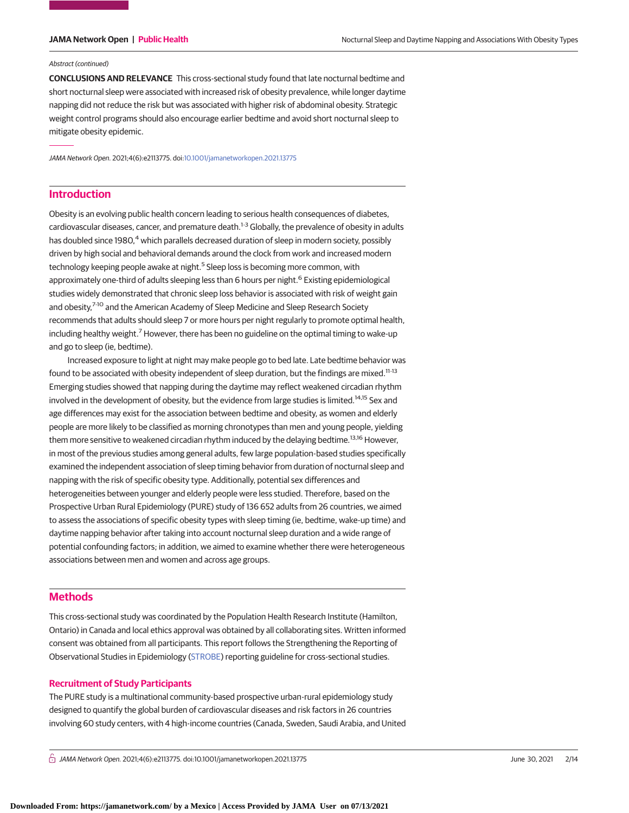### Abstract (continued)

**CONCLUSIONS AND RELEVANCE** This cross-sectional study found that late nocturnal bedtime and short nocturnal sleep were associated with increased risk of obesity prevalence, while longer daytime napping did not reduce the risk but was associated with higher risk of abdominal obesity. Strategic weight control programs should also encourage earlier bedtime and avoid short nocturnal sleep to mitigate obesity epidemic.

JAMA Network Open. 2021;4(6):e2113775. doi[:10.1001/jamanetworkopen.2021.13775](https://jama.jamanetwork.com/article.aspx?doi=10.1001/jamanetworkopen.2021.13775&utm_campaign=articlePDF%26utm_medium=articlePDFlink%26utm_source=articlePDF%26utm_content=jamanetworkopen.2021.13775)

# **Introduction**

Obesity is an evolving public health concern leading to serious health consequences of diabetes, cardiovascular diseases, cancer, and premature death.<sup>1-3</sup> Globally, the prevalence of obesity in adults has doubled since 1980,<sup>4</sup> which parallels decreased duration of sleep in modern society, possibly driven by high social and behavioral demands around the clock from work and increased modern technology keeping people awake at night.<sup>5</sup> Sleep loss is becoming more common, with approximately one-third of adults sleeping less than 6 hours per night.<sup>6</sup> Existing epidemiological studies widely demonstrated that chronic sleep loss behavior is associated with risk of weight gain and obesity.<sup>7-10</sup> and the American Academy of Sleep Medicine and Sleep Research Society recommends that adults should sleep 7 or more hours per night regularly to promote optimal health, including healthy weight.<sup>7</sup> However, there has been no guideline on the optimal timing to wake-up and go to sleep (ie, bedtime).

Increased exposure to light at night may make people go to bed late. Late bedtime behavior was found to be associated with obesity independent of sleep duration, but the findings are mixed.<sup>11-13</sup> Emerging studies showed that napping during the daytime may reflect weakened circadian rhythm involved in the development of obesity, but the evidence from large studies is limited.<sup>14,15</sup> Sex and age differences may exist for the association between bedtime and obesity, as women and elderly people are more likely to be classified as morning chronotypes than men and young people, yielding them more sensitive to weakened circadian rhythm induced by the delaying bedtime.<sup>13,16</sup> However, in most of the previous studies among general adults, few large population-based studies specifically examined the independent association of sleep timing behavior from duration of nocturnal sleep and napping with the risk of specific obesity type. Additionally, potential sex differences and heterogeneities between younger and elderly people were less studied. Therefore, based on the Prospective Urban Rural Epidemiology (PURE) study of 136 652 adults from 26 countries, we aimed to assess the associations of specific obesity types with sleep timing (ie, bedtime, wake-up time) and daytime napping behavior after taking into account nocturnal sleep duration and a wide range of potential confounding factors; in addition, we aimed to examine whether there were heterogeneous associations between men and women and across age groups.

# **Methods**

This cross-sectional study was coordinated by the Population Health Research Institute (Hamilton, Ontario) in Canada and local ethics approval was obtained by all collaborating sites. Written informed consent was obtained from all participants. This report follows the Strengthening the Reporting of Observational Studies in Epidemiology [\(STROBE\)](http://www.equator-network.org/reporting-guidelines/strobe/) reporting guideline for cross-sectional studies.

## **Recruitment of Study Participants**

The PURE study is a multinational community-based prospective urban-rural epidemiology study designed to quantify the global burden of cardiovascular diseases and risk factors in 26 countries involving 60 study centers, with 4 high-income countries (Canada, Sweden, Saudi Arabia, and United

 $\bigcap$  JAMA Network Open. 2021;4(6):e2113775. doi:10.1001/jamanetworkopen.2021.13775 (Reprinted) June 30, 2021 2/14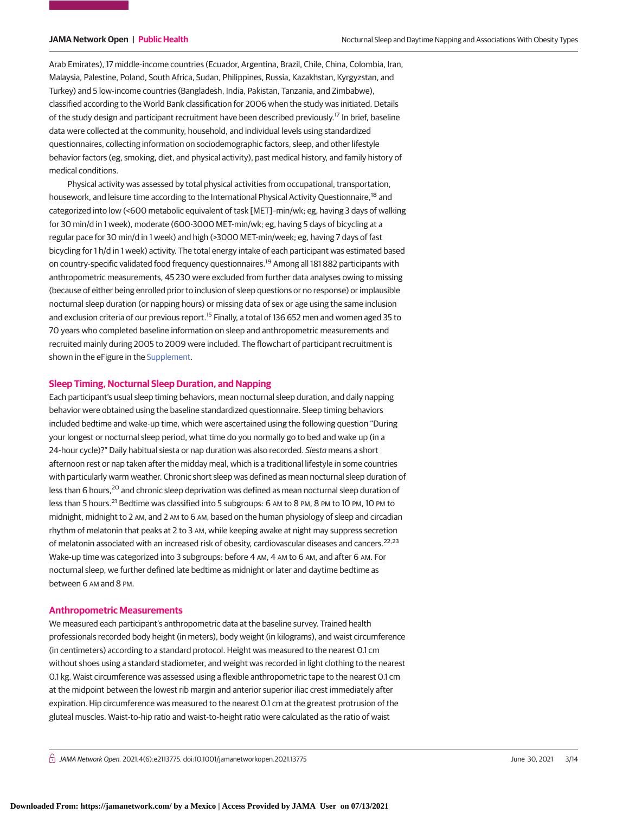Arab Emirates), 17 middle-income countries (Ecuador, Argentina, Brazil, Chile, China, Colombia, Iran, Malaysia, Palestine, Poland, South Africa, Sudan, Philippines, Russia, Kazakhstan, Kyrgyzstan, and Turkey) and 5 low-income countries (Bangladesh, India, Pakistan, Tanzania, and Zimbabwe), classified according to the World Bank classification for 2006 when the study was initiated. Details of the study design and participant recruitment have been described previously.<sup>17</sup> In brief, baseline data were collected at the community, household, and individual levels using standardized questionnaires, collecting information on sociodemographic factors, sleep, and other lifestyle behavior factors (eg, smoking, diet, and physical activity), past medical history, and family history of medical conditions.

Physical activity was assessed by total physical activities from occupational, transportation, housework, and leisure time according to the International Physical Activity Questionnaire,<sup>18</sup> and categorized into low (<600 metabolic equivalent of task [MET]–min/wk; eg, having 3 days of walking for 30 min/d in 1 week), moderate (600-3000 MET-min/wk; eg, having 5 days of bicycling at a regular pace for 30 min/d in 1 week) and high (>3000 MET-min/week; eg, having 7 days of fast bicycling for 1 h/d in 1 week) activity. The total energy intake of each participant was estimated based on country-specific validated food frequency questionnaires.<sup>19</sup> Among all 181 882 participants with anthropometric measurements, 45 230 were excluded from further data analyses owing to missing (because of either being enrolled prior to inclusion of sleep questions or no response) or implausible nocturnal sleep duration (or napping hours) or missing data of sex or age using the same inclusion and exclusion criteria of our previous report.<sup>15</sup> Finally, a total of 136 652 men and women aged 35 to 70 years who completed baseline information on sleep and anthropometric measurements and recruited mainly during 2005 to 2009 were included. The flowchart of participant recruitment is shown in the eFigure in the [Supplement.](https://jama.jamanetwork.com/article.aspx?doi=10.1001/jamanetworkopen.2021.13775&utm_campaign=articlePDF%26utm_medium=articlePDFlink%26utm_source=articlePDF%26utm_content=jamanetworkopen.2021.13775)

### **Sleep Timing, Nocturnal Sleep Duration, and Napping**

Each participant's usual sleep timing behaviors, mean nocturnal sleep duration, and daily napping behavior were obtained using the baseline standardized questionnaire. Sleep timing behaviors included bedtime and wake-up time, which were ascertained using the following question "During your longest or nocturnal sleep period, what time do you normally go to bed and wake up (in a 24-hour cycle)?" Daily habitual siesta or nap duration was also recorded. Siesta means a short afternoon rest or nap taken after the midday meal, which is a traditional lifestyle in some countries with particularly warm weather. Chronic short sleep was defined as mean nocturnal sleep duration of less than 6 hours,<sup>20</sup> and chronic sleep deprivation was defined as mean nocturnal sleep duration of less than 5 hours.<sup>21</sup> Bedtime was classified into 5 subgroups: 6 AM to 8 PM, 8 PM to 10 PM, 10 PM to midnight, midnight to 2 AM, and 2 AM to 6 AM, based on the human physiology of sleep and circadian rhythm of melatonin that peaks at 2 to 3 AM, while keeping awake at night may suppress secretion of melatonin associated with an increased risk of obesity, cardiovascular diseases and cancers.<sup>22,23</sup> Wake-up time was categorized into 3 subgroups: before 4 AM, 4 AM to 6 AM, and after 6 AM. For nocturnal sleep, we further defined late bedtime as midnight or later and daytime bedtime as between 6 AM and 8 PM.

## **Anthropometric Measurements**

We measured each participant's anthropometric data at the baseline survey. Trained health professionals recorded body height (in meters), body weight (in kilograms), and waist circumference (in centimeters) according to a standard protocol. Height was measured to the nearest 0.1 cm without shoes using a standard stadiometer, and weight was recorded in light clothing to the nearest 0.1 kg. Waist circumference was assessed using a flexible anthropometric tape to the nearest 0.1 cm at the midpoint between the lowest rib margin and anterior superior iliac crest immediately after expiration. Hip circumference was measured to the nearest 0.1 cm at the greatest protrusion of the gluteal muscles. Waist-to-hip ratio and waist-to-height ratio were calculated as the ratio of waist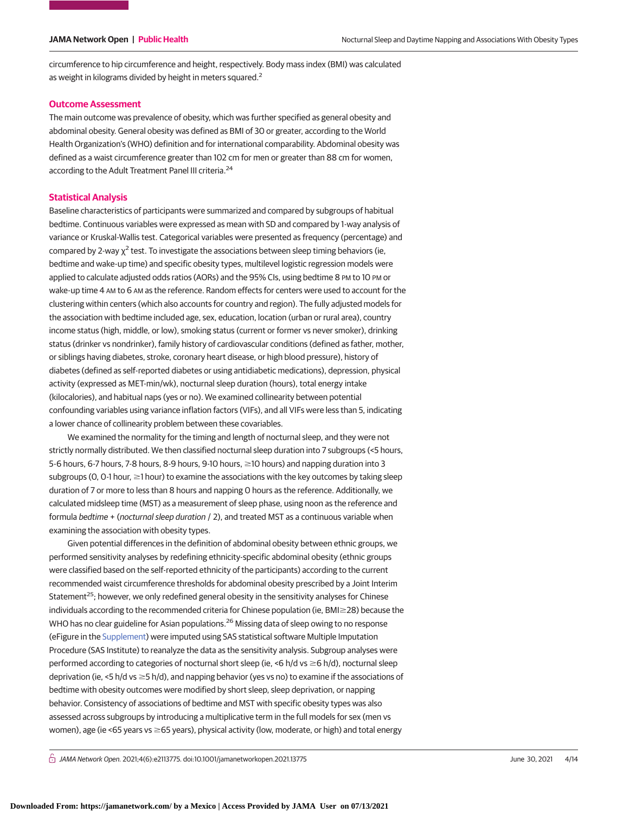circumference to hip circumference and height, respectively. Body mass index (BMI) was calculated as weight in kilograms divided by height in meters squared.<sup>2</sup>

### **Outcome Assessment**

The main outcome was prevalence of obesity, which was further specified as general obesity and abdominal obesity. General obesity was defined as BMI of 30 or greater, according to the World Health Organization's (WHO) definition and for international comparability. Abdominal obesity was defined as a waist circumference greater than 102 cm for men or greater than 88 cm for women, according to the Adult Treatment Panel III criteria.<sup>24</sup>

### **Statistical Analysis**

Baseline characteristics of participants were summarized and compared by subgroups of habitual bedtime. Continuous variables were expressed as mean with SD and compared by 1-way analysis of variance or Kruskal-Wallis test. Categorical variables were presented as frequency (percentage) and compared by 2-way  $\chi^2$  test. To investigate the associations between sleep timing behaviors (ie, bedtime and wake-up time) and specific obesity types, multilevel logistic regression models were applied to calculate adjusted odds ratios (AORs) and the 95% CIs, using bedtime 8 PM to 10 PM or wake-up time 4 AM to 6 AM as the reference. Random effects for centers were used to account for the clustering within centers (which also accounts for country and region). The fully adjusted models for the association with bedtime included age, sex, education, location (urban or rural area), country income status (high, middle, or low), smoking status (current or former vs never smoker), drinking status (drinker vs nondrinker), family history of cardiovascular conditions (defined as father, mother, or siblings having diabetes, stroke, coronary heart disease, or high blood pressure), history of diabetes (defined as self-reported diabetes or using antidiabetic medications), depression, physical activity (expressed as MET-min/wk), nocturnal sleep duration (hours), total energy intake (kilocalories), and habitual naps (yes or no). We examined collinearity between potential confounding variables using variance inflation factors (VIFs), and all VIFs were less than 5, indicating a lower chance of collinearity problem between these covariables.

We examined the normality for the timing and length of nocturnal sleep, and they were not strictly normally distributed. We then classified nocturnal sleep duration into 7 subgroups (<5 hours, 5-6 hours, 6-7 hours, 7-8 hours, 8-9 hours, 9-10 hours, ≥10 hours) and napping duration into 3 subgroups (O, O-1 hour,  $\geq$ 1 hour) to examine the associations with the key outcomes by taking sleep duration of 7 or more to less than 8 hours and napping 0 hours as the reference. Additionally, we calculated midsleep time (MST) as a measurement of sleep phase, using noon as the reference and formula bedtime + (nocturnal sleep duration / 2), and treated MST as a continuous variable when examining the association with obesity types.

Given potential differences in the definition of abdominal obesity between ethnic groups, we performed sensitivity analyses by redefining ethnicity-specific abdominal obesity (ethnic groups were classified based on the self-reported ethnicity of the participants) according to the current recommended waist circumference thresholds for abdominal obesity prescribed by a Joint Interim Statement<sup>25</sup>; however, we only redefined general obesity in the sensitivity analyses for Chinese individuals according to the recommended criteria for Chinese population (ie, BMI $\geq$ 28) because the WHO has no clear guideline for Asian populations.<sup>26</sup> Missing data of sleep owing to no response (eFigure in the [Supplement\)](https://jama.jamanetwork.com/article.aspx?doi=10.1001/jamanetworkopen.2021.13775&utm_campaign=articlePDF%26utm_medium=articlePDFlink%26utm_source=articlePDF%26utm_content=jamanetworkopen.2021.13775) were imputed using SAS statistical software Multiple Imputation Procedure (SAS Institute) to reanalyze the data as the sensitivity analysis. Subgroup analyses were performed according to categories of nocturnal short sleep (ie, <6 h/d vs ≥6 h/d), nocturnal sleep deprivation (ie, <5 h/d vs ≥5 h/d), and napping behavior (yes vs no) to examine if the associations of bedtime with obesity outcomes were modified by short sleep, sleep deprivation, or napping behavior. Consistency of associations of bedtime and MST with specific obesity types was also assessed across subgroups by introducing a multiplicative term in the full models for sex (men vs women), age (ie <65 years vs ≥65 years), physical activity (low, moderate, or high) and total energy

 $\bigcap$  JAMA Network Open. 2021;4(6):e2113775. doi:10.1001/jamanetworkopen.2021.13775 (Reprinted) June 30, 2021 4/14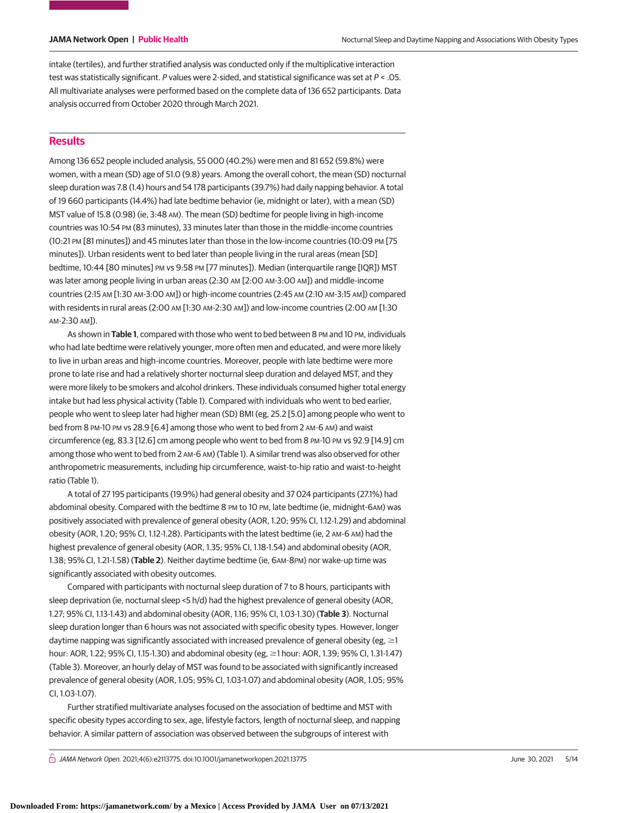intake (tertiles), and further stratified analysis was conducted only if the multiplicative interaction test was statistically significant. P values were 2-sided, and statistical significance was set at  $P < .05$ . All multivariate analyses were performed based on the complete data of 136 652 participants. Data analysis occurred from October 2020 through March 2021.

# **Results**

Among 136 652 people included analysis, 55 000 (40.2%) were men and 81 652 (59.8%) were women, with a mean (SD) age of 51.0 (9.8) years. Among the overall cohort, the mean (SD) nocturnal sleep duration was 7.8 (1.4) hours and 54 178 participants (39.7%) had daily napping behavior. A total of 19 660 participants (14.4%) had late bedtime behavior (ie, midnight or later), with a mean (SD) MST value of 15.8 (0.98) (ie, 3:48 AM). The mean (SD) bedtime for people living in high-income countries was 10:54 PM (83 minutes), 33 minutes later than those in the middle-income countries (10:21 PM [81 minutes]) and 45 minutes later than those in the low-income countries (10:09 PM [75 minutes]). Urban residents went to bed later than people living in the rural areas (mean [SD] bedtime, 10:44 [80 minutes] PM vs 9:58 PM [77 minutes]). Median (interquartile range [IQR]) MST was later among people living in urban areas (2:30 AM [2:00 AM-3:00 AM]) and middle-income countries (2:15 AM [1:30 AM-3:00 AM]) or high-income countries (2:45 AM (2:10 AM-3:15 AM]) compared with residents in rural areas (2:00 AM [1:30 AM-2:30 AM]) and low-income countries (2:00 AM [1:30 AM-2:30 AM]).

As shown in Table 1, compared with those who went to bed between 8 PM and 10 PM, individuals who had late bedtime were relatively younger, more often men and educated, and were more likely to live in urban areas and high-income countries. Moreover, people with late bedtime were more prone to late rise and had a relatively shorter nocturnal sleep duration and delayed MST, and they were more likely to be smokers and alcohol drinkers. These individuals consumed higher total energy intake but had less physical activity (Table 1). Compared with individuals who went to bed earlier, people who went to sleep later had higher mean (SD) BMI (eg, 25.2 [5.0] among people who went to bed from 8 PM-10 PM vs 28.9 [6.4] among those who went to bed from 2 AM-6 AM) and waist circumference (eg, 83.3 [12.6] cm among people who went to bed from 8 PM-10 PM vs 92.9 [14.9] cm among those who went to bed from 2 AM-6 AM) (Table 1). A similar trend was also observed for other anthropometric measurements, including hip circumference, waist-to-hip ratio and waist-to-height ratio (Table 1).

A total of 27 195 participants (19.9%) had general obesity and 37 024 participants (27.1%) had abdominal obesity. Compared with the bedtime 8 PM to 10 PM, late bedtime (ie, midnight-6AM) was positively associated with prevalence of general obesity (AOR, 1.20; 95% CI, 1.12-1.29) and abdominal obesity (AOR, 1.20; 95% CI, 1.12-1.28). Participants with the latest bedtime (ie, 2 AM-6 AM) had the highest prevalence of general obesity (AOR, 1.35; 95% CI, 1.18-1.54) and abdominal obesity (AOR, 1.38; 95% CI, 1.21-1.58) (**Table 2**). Neither daytime bedtime (ie, 6AM-8PM) nor wake-up time was significantly associated with obesity outcomes.

Compared with participants with nocturnal sleep duration of 7 to 8 hours, participants with sleep deprivation (ie, nocturnal sleep <5 h/d) had the highest prevalence of general obesity (AOR, 1.27; 95% CI, 1.13-1.43) and abdominal obesity (AOR, 1.16; 95% CI, 1.03-1.30) (**Table 3**). Nocturnal sleep duration longer than 6 hours was not associated with specific obesity types. However, longer daytime napping was significantly associated with increased prevalence of general obesity (eg,  $\geq$ 1 hour: AOR, 1.22; 95% Cl, 1.15-1.30) and abdominal obesity (eg, ≥1 hour: AOR, 1.39; 95% Cl, 1.31-1.47) (Table 3). Moreover, an hourly delay of MST was found to be associated with significantly increased prevalence of general obesity (AOR, 1.05; 95% CI, 1.03-1.07) and abdominal obesity (AOR, 1.05; 95% CI, 1.03-1.07).

Further stratified multivariate analyses focused on the association of bedtime and MST with specific obesity types according to sex, age, lifestyle factors, length of nocturnal sleep, and napping behavior. A similar pattern of association was observed between the subgroups of interest with

 $\bigcap$  JAMA Network Open. 2021;4(6):e2113775. doi:10.1001/jamanetworkopen.2021.13775 (Alexandre) June 30, 2021 5/14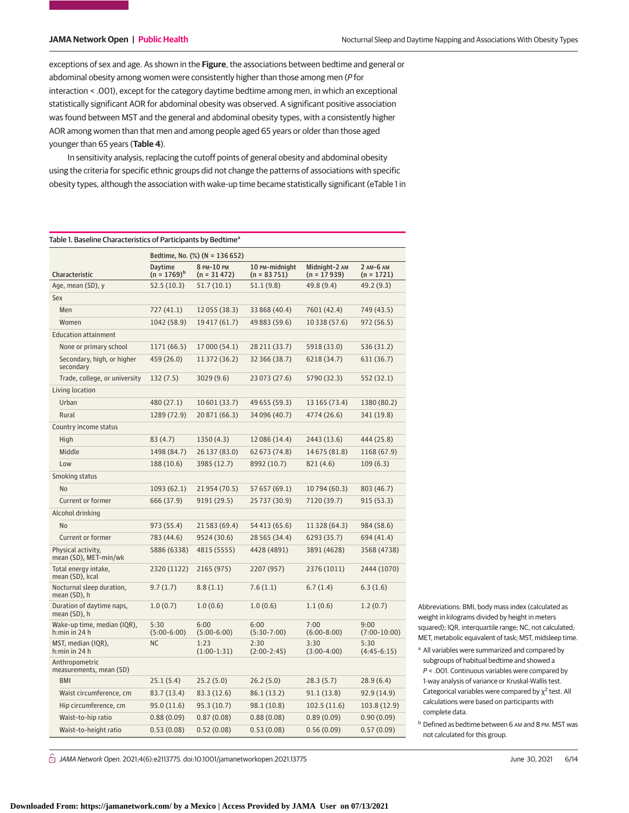exceptions of sex and age. As shown in the **Figure**, the associations between bedtime and general or abdominal obesity among women were consistently higher than those among men (P for interaction < .001), except for the category daytime bedtime among men, in which an exceptional statistically significant AOR for abdominal obesity was observed. A significant positive association was found between MST and the general and abdominal obesity types, with a consistently higher AOR among women than that men and among people aged 65 years or older than those aged younger than 65 years (**Table 4**).

In sensitivity analysis, replacing the cutoff points of general obesity and abdominal obesity using the criteria for specific ethnic groups did not change the patterns of associations with specific obesity types, although the association with wake-up time became statistically significant (eTable 1 in

| Table 1. Baseline Characteristics of Participants by Bedtime <sup>a</sup> |                                |                             |                                 |                                |                           |  |
|---------------------------------------------------------------------------|--------------------------------|-----------------------------|---------------------------------|--------------------------------|---------------------------|--|
|                                                                           | Bedtime, No. (%) (N = 136 652) |                             |                                 |                                |                           |  |
| Characteristic                                                            | Daytime<br>$(n = 1769)^{b}$    | 8 PM-10 PM<br>$(n = 31472)$ | 10 PM-midnight<br>$(n = 83751)$ | Midnight-2 AM<br>$(n = 17939)$ | 2 AM-6 AM<br>$(n = 1721)$ |  |
| Age, mean (SD), y                                                         | 52.5 (10.3)                    | 51.7(10.1)                  | 51.1(9.8)                       | 49.8 (9.4)                     | 49.2 (9.3)                |  |
| Sex                                                                       |                                |                             |                                 |                                |                           |  |
| Men                                                                       | 727 (41.1)                     | 12 055 (38.3)               | 33 868 (40.4)                   | 7601 (42.4)                    | 749 (43.5)                |  |
| Women                                                                     | 1042 (58.9)                    | 19417 (61.7)                | 49 883 (59.6)                   | 10 338 (57.6)                  | 972 (56.5)                |  |
| <b>Education attainment</b>                                               |                                |                             |                                 |                                |                           |  |
| None or primary school                                                    | 1171 (66.5)                    | 17 000 (54.1)               | 28 211 (33.7)                   | 5918 (33.0)                    | 536 (31.2)                |  |
| Secondary, high, or higher<br>secondary                                   | 459 (26.0)                     | 11 372 (36.2)               | 32 366 (38.7)                   | 6218 (34.7)                    | 631 (36.7)                |  |
| Trade, college, or university                                             | 132 (7.5)                      | 3029 (9.6)                  | 23 073 (27.6)                   | 5790 (32.3)                    | 552 (32.1)                |  |
| Living location                                                           |                                |                             |                                 |                                |                           |  |
| Urban                                                                     | 480 (27.1)                     | 10 601 (33.7)               | 49 655 (59.3)                   | 13 165 (73.4)                  | 1380 (80.2)               |  |
| Rural                                                                     | 1289 (72.9)                    | 20 871 (66.3)               | 34 096 (40.7)                   | 4774 (26.6)                    | 341 (19.8)                |  |
| Country income status                                                     |                                |                             |                                 |                                |                           |  |
| High                                                                      | 83 (4.7)                       | 1350(4.3)                   | 12 086 (14.4)                   | 2443 (13.6)                    | 444 (25.8)                |  |
| Middle                                                                    | 1498 (84.7)                    | 26 137 (83.0)               | 62 673 (74.8)                   | 14675 (81.8)                   | 1168 (67.9)               |  |
| Low                                                                       | 188 (10.6)                     | 3985 (12.7)                 | 8992 (10.7)                     | 821 (4.6)                      | 109(6.3)                  |  |
| Smoking status                                                            |                                |                             |                                 |                                |                           |  |
| <b>No</b>                                                                 | 1093 (62.1)                    | 21954 (70.5)                | 57 657 (69.1)                   | 10794 (60.3)                   | 803 (46.7)                |  |
| Current or former                                                         | 666 (37.9)                     | 9191 (29.5)                 | 25 737 (30.9)                   | 7120 (39.7)                    | 915 (53.3)                |  |
| Alcohol drinking                                                          |                                |                             |                                 |                                |                           |  |
| <b>No</b>                                                                 | 973 (55.4)                     | 21 583 (69.4)               | 54 413 (65.6)                   | 11 328 (64.3)                  | 984 (58.6)                |  |
| Current or former                                                         | 783 (44.6)                     | 9524 (30.6)                 | 28 5 65 (34.4)                  | 6293 (35.7)                    | 694 (41.4)                |  |
| Physical activity,<br>mean (SD), MET-min/wk                               | 5886 (6338)                    | 4815 (5555)                 | 4428 (4891)                     | 3891 (4628)                    | 3568 (4738)               |  |
| Total energy intake,<br>mean (SD), kcal                                   | 2320 (1122)                    | 2165 (975)                  | 2207 (957)                      | 2376 (1011)                    | 2444 (1070)               |  |
| Nocturnal sleep duration,<br>mean (SD), h                                 | 9.7(1.7)                       | 8.8(1.1)                    | 7.6(1.1)                        | 6.7(1.4)                       | 6.3(1.6)                  |  |
| Duration of daytime naps,<br>mean (SD), h                                 | 1.0(0.7)                       | 1.0(0.6)                    | 1.0(0.6)                        | 1.1(0.6)                       | 1.2(0.7)                  |  |
| Wake-up time, median (IQR),<br>h:min in 24 h                              | 5:30<br>$(5:00-6:00)$          | 6:00<br>$(5:00-6:00)$       | 6:00<br>$(5:30-7:00)$           | 7:00<br>$(6:00-8:00)$          | 9:00<br>$(7:00-10:00)$    |  |
| MST, median (IQR),<br>h:min in 24 h                                       | ΝC                             | 1:23<br>$(1:00-1:31)$       | 2:30<br>$(2:00-2:45)$           | 3:30<br>$(3:00-4:00)$          | 5:30<br>$(4:45-6:15)$     |  |
| Anthropometric<br>measurements, mean (SD)                                 |                                |                             |                                 |                                |                           |  |
| <b>BMI</b>                                                                | 25.1(5.4)                      | 25.2(5.0)                   | 26.2(5.0)                       | 28.3 (5.7)                     | 28.9(6.4)                 |  |
| Waist circumference, cm                                                   | 83.7 (13.4)                    | 83.3 (12.6)                 | 86.1 (13.2)                     | 91.1(13.8)                     | 92.9 (14.9)               |  |
| Hip circumference, cm                                                     | 95.0 (11.6)                    | 95.3 (10.7)                 | 98.1 (10.8)                     | 102.5 (11.6)                   | 103.8 (12.9)              |  |
| Waist-to-hip ratio                                                        | 0.88(0.09)                     | 0.87(0.08)                  | 0.88(0.08)                      | 0.89(0.09)                     | 0.90(0.09)                |  |
| Waist-to-height ratio                                                     | 0.53(0.08)                     | 0.52(0.08)                  | 0.53(0.08)                      | 0.56(0.09)                     | 0.57(0.09)                |  |

Abbreviations: BMI, body mass index (calculated as weight in kilograms divided by height in meters squared); IQR, interquartile range; NC, not calculated; MET, metabolic equivalent of task; MST, midsleep time.

 $\bigcap$  JAMA Network Open. 2021;4(6):e2113775. doi:10.1001/jamanetworkopen.2021.13775 (Reprinted) June 30, 2021 6/14

**Downloaded From: https://jamanetwork.com/ by a Mexico | Access Provided by JAMA User on 07/13/2021**

<sup>&</sup>lt;sup>a</sup> All variables were summarized and compared by subgroups of habitual bedtime and showed a P < .001. Continuous variables were compared by 1-way analysis of variance or Kruskal-Wallis test. Categorical variables were compared by  $\chi^2$  test. All calculations were based on participants with complete data.

<sup>b</sup> Defined as bedtime between 6 AM and 8 PM. MST was not calculated for this group.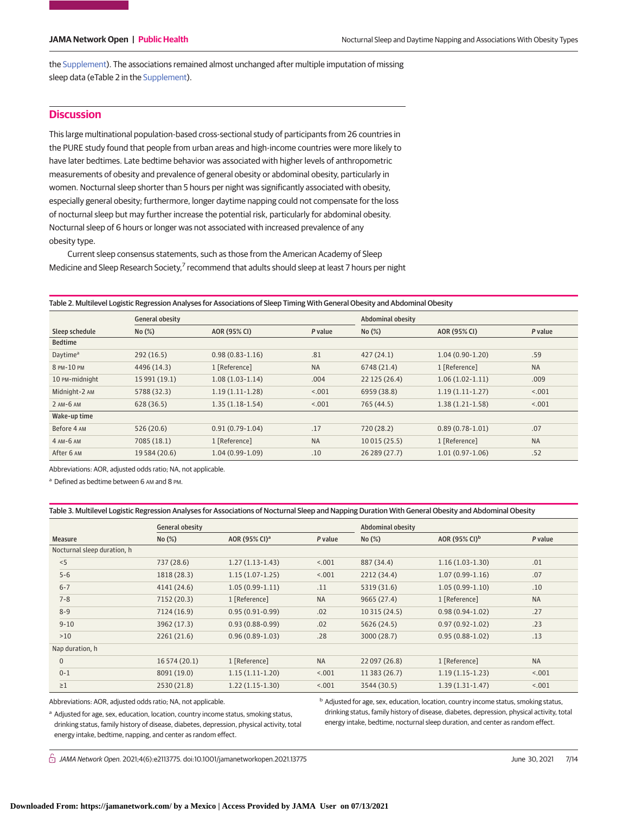the [Supplement\)](https://jama.jamanetwork.com/article.aspx?doi=10.1001/jamanetworkopen.2021.13775&utm_campaign=articlePDF%26utm_medium=articlePDFlink%26utm_source=articlePDF%26utm_content=jamanetworkopen.2021.13775). The associations remained almost unchanged after multiple imputation of missing sleep data (eTable 2 in the [Supplement\)](https://jama.jamanetwork.com/article.aspx?doi=10.1001/jamanetworkopen.2021.13775&utm_campaign=articlePDF%26utm_medium=articlePDFlink%26utm_source=articlePDF%26utm_content=jamanetworkopen.2021.13775).

# **Discussion**

This large multinational population-based cross-sectional study of participants from 26 countries in the PURE study found that people from urban areas and high-income countries were more likely to have later bedtimes. Late bedtime behavior was associated with higher levels of anthropometric measurements of obesity and prevalence of general obesity or abdominal obesity, particularly in women. Nocturnal sleep shorter than 5 hours per night was significantly associated with obesity, especially general obesity; furthermore, longer daytime napping could not compensate for the loss of nocturnal sleep but may further increase the potential risk, particularly for abdominal obesity. Nocturnal sleep of 6 hours or longer was not associated with increased prevalence of any obesity type.

Current sleep consensus statements, such as those from the American Academy of Sleep Medicine and Sleep Research Society,<sup>7</sup> recommend that adults should sleep at least 7 hours per night

Table 2. Multilevel Logistic Regression Analyses for Associations of Sleep Timing With General Obesity and Abdominal Obesity

|                      | General obesity |                     |           | <b>Abdominal obesity</b> |                   |           |  |
|----------------------|-----------------|---------------------|-----------|--------------------------|-------------------|-----------|--|
| Sleep schedule       | No(%)           | AOR (95% CI)        | P value   | No(%)                    | AOR (95% CI)      | P value   |  |
| <b>Bedtime</b>       |                 |                     |           |                          |                   |           |  |
| Daytime <sup>a</sup> | 292(16.5)       | $0.98(0.83 - 1.16)$ | .81       | 427(24.1)                | $1.04(0.90-1.20)$ | .59       |  |
| 8 PM-10 PM           | 4496 (14.3)     | 1 [Reference]       | <b>NA</b> | 6748 (21.4)              | 1 [Reference]     | <b>NA</b> |  |
| 10 PM-midnight       | 15 991 (19.1)   | $1.08(1.03-1.14)$   | .004      | 22 125 (26.4)            | $1.06(1.02-1.11)$ | .009      |  |
| Midnight-2 AM        | 5788 (32.3)     | $1.19(1.11-1.28)$   | < 0.001   | 6959 (38.8)              | $1.19(1.11-1.27)$ | < 0.001   |  |
| 2 AM-6 AM            | 628(36.5)       | $1.35(1.18-1.54)$   | < .001    | 765 (44.5)               | $1.38(1.21-1.58)$ | < .001    |  |
| Wake-up time         |                 |                     |           |                          |                   |           |  |
| Before 4 AM          | 526(20.6)       | $0.91(0.79-1.04)$   | .17       | 720 (28.2)               | $0.89(0.78-1.01)$ | .07       |  |
| 4 AM-6 AM            | 7085 (18.1)     | 1 [Reference]       | <b>NA</b> | 10015(25.5)              | 1 [Reference]     | <b>NA</b> |  |
| After 6 AM           | 19 5 84 (20.6)  | $1.04(0.99-1.09)$   | .10       | 26 289 (27.7)            | $1.01(0.97-1.06)$ | .52       |  |

Abbreviations: AOR, adjusted odds ratio; NA, not applicable.

<sup>a</sup> Defined as bedtime between 6 AM and 8 PM.

Table 3. Multilevel Logistic Regression Analyses for Associations of Nocturnal Sleep and Napping Duration With General Obesity and Abdominal Obesity

|                             | <b>General obesity</b> |                           |           | <b>Abdominal obesity</b> |                           |           |  |
|-----------------------------|------------------------|---------------------------|-----------|--------------------------|---------------------------|-----------|--|
| <b>Measure</b>              | No(%)                  | AOR (95% CI) <sup>a</sup> | P value   | No(%)                    | AOR (95% CI) <sup>b</sup> | P value   |  |
| Nocturnal sleep duration, h |                        |                           |           |                          |                           |           |  |
| < 5                         | 737 (28.6)             | $1.27(1.13-1.43)$         | < .001    | 887 (34.4)               | $1.16(1.03-1.30)$         | .01       |  |
| $5 - 6$                     | 1818 (28.3)            | $1.15(1.07-1.25)$         | < .001    | 2212 (34.4)              | $1.07(0.99-1.16)$         | .07       |  |
| $6 - 7$                     | 4141 (24.6)            | $1.05(0.99-1.11)$         | .11       | 5319 (31.6)              | $1.05(0.99-1.10)$         | .10       |  |
| $7 - 8$                     | 7152 (20.3)            | 1 [Reference]             | <b>NA</b> | 9665 (27.4)              | 1 [Reference]             | <b>NA</b> |  |
| $8 - 9$                     | 7124 (16.9)            | $0.95(0.91-0.99)$         | .02       | 10 315 (24.5)            | $0.98(0.94-1.02)$         | .27       |  |
| $9 - 10$                    | 3962 (17.3)            | $0.93(0.88-0.99)$         | .02       | 5626 (24.5)              | $0.97(0.92 - 1.02)$       | .23       |  |
| >10                         | 2261(21.6)             | $0.96(0.89-1.03)$         | .28       | 3000 (28.7)              | $0.95(0.88-1.02)$         | .13       |  |
| Nap duration, h             |                        |                           |           |                          |                           |           |  |
| $\mathbf{0}$                | 16 574 (20.1)          | 1 [Reference]             | <b>NA</b> | 22 097 (26.8)            | 1 [Reference]             | <b>NA</b> |  |
| $0 - 1$                     | 8091 (19.0)            | $1.15(1.11-1.20)$         | < 0.001   | 11 383 (26.7)            | $1.19(1.15-1.23)$         | < 0.01    |  |
| $\geq$ 1                    | 2530 (21.8)            | $1.22(1.15-1.30)$         | < .001    | 3544 (30.5)              | $1.39(1.31-1.47)$         | < .001    |  |

Abbreviations: AOR, adjusted odds ratio; NA, not applicable.

<sup>a</sup> Adjusted for age, sex, education, location, country income status, smoking status, drinking status, family history of disease, diabetes, depression, physical activity, total energy intake, bedtime, napping, and center as random effect.

b Adjusted for age, sex, education, location, country income status, smoking status, drinking status, family history of disease, diabetes, depression, physical activity, total energy intake, bedtime, nocturnal sleep duration, and center as random effect.

 $\bigcap$  JAMA Network Open. 2021;4(6):e2113775. doi:10.1001/jamanetworkopen.2021.13775 (Reprinted) June 30, 2021 7/14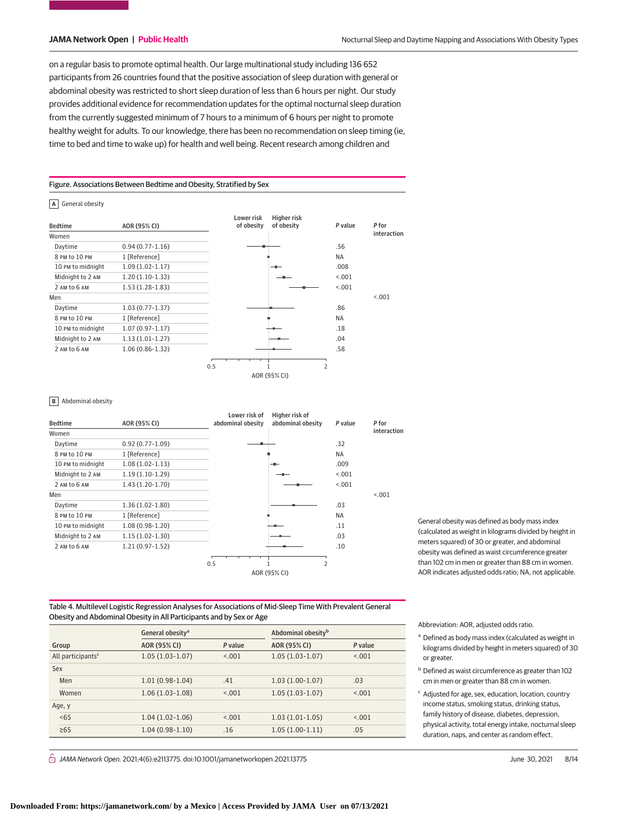on a regular basis to promote optimal health. Our large multinational study including 136 652 participants from 26 countries found that the positive association of sleep duration with general or abdominal obesity was restricted to short sleep duration of less than 6 hours per night. Our study provides additional evidence for recommendation updates for the optimal nocturnal sleep duration from the currently suggested minimum of 7 hours to a minimum of 6 hours per night to promote healthy weight for adults. To our knowledge, there has been no recommendation on sleep timing (ie, time to bed and time to wake up) for health and well being. Recent research among children and

Figure. Associations Between Bedtime and Obesity, Stratified by Sex

### **A** General obesity



### **B** Abdominal obesity

| <b>Bedtime</b>    | AOR (95% CI)        | Lower risk of<br>abdominal obesity | Higher risk of<br>abdominal obesity | P value | P for       |
|-------------------|---------------------|------------------------------------|-------------------------------------|---------|-------------|
| Women             |                     |                                    |                                     |         | interaction |
| Daytime           | $0.92(0.77-1.09)$   |                                    |                                     | .32     |             |
| 8 PM to 10 PM     | 1 [Reference]       |                                    |                                     | NA      |             |
| 10 PM to midnight | $1.08(1.02 - 1.13)$ |                                    |                                     | .009    |             |
| Midnight to 2 AM  | $1.19(1.10-1.29)$   |                                    |                                     | < 0.001 |             |
| 2 AM to 6 AM      | $1.43(1.20-1.70)$   |                                    |                                     | < 0.001 |             |
| Men               |                     |                                    |                                     |         | < 0.001     |
| Daytime           | $1.36(1.02-1.80)$   |                                    |                                     | .03     |             |
| 8 PM to 10 PM     | 1 [Reference]       |                                    |                                     | NA      |             |
| 10 PM to midnight | $1.08(0.98-1.20)$   |                                    |                                     | .11     |             |
| Midnight to 2 AM  | $1.15(1.02-1.30)$   |                                    |                                     | .03     |             |
| 2 AM to 6 AM      | $1.21(0.97-1.52)$   |                                    |                                     | .10     |             |
|                   |                     | 0.5                                | $\overline{2}$                      |         |             |
|                   |                     |                                    | AOR (95% CI)                        |         |             |

General obesity was defined as body mass index (calculated as weight in kilograms divided by height in meters squared) of 30 or greater, and abdominal obesity was defined as waist circumference greater than 102 cm in men or greater than 88 cm in women. AOR indicates adjusted odds ratio; NA, not applicable.

Table 4. Multilevel Logistic Regression Analyses for Associations of Mid-Sleep Time With Prevalent General Obesity and Abdominal Obesity in All Participants and by Sex or Age

|                               | General obesity <sup>a</sup> |         | Abdominal obesity <sup>b</sup> |         |  |
|-------------------------------|------------------------------|---------|--------------------------------|---------|--|
| Group                         | AOR (95% CI)                 | P value | AOR (95% CI)                   | P value |  |
| All participants <sup>c</sup> | $1.05(1.03-1.07)$            | < 0.01  | $1.05(1.03-1.07)$              | < 0.01  |  |
| Sex                           |                              |         |                                |         |  |
| Men                           | $1.01(0.98-1.04)$            | .41     | $1.03(1.00-1.07)$              | .03     |  |
| Women                         | $1.06(1.03-1.08)$            | < 0.01  | $1.05(1.03-1.07)$              | < 0.01  |  |
| Age, y                        |                              |         |                                |         |  |
| <65                           | $1.04(1.02-1.06)$            | < 0.01  | $1.03(1.01-1.05)$              | < 0.01  |  |
| $\geq 65$                     | $1.04(0.98-1.10)$            | .16     | $1.05(1.00-1.11)$              | .05     |  |
|                               |                              |         |                                |         |  |

 $\bigcap$  JAMA Network Open. 2021;4(6):e2113775. doi:10.1001/jamanetworkopen.2021.13775 (Reprinted) June 30, 2021 8/14

Abbreviation: AOR, adjusted odds ratio.

- <sup>a</sup> Defined as body mass index (calculated as weight in kilograms divided by height in meters squared) of 30 or greater.
- <sup>b</sup> Defined as waist circumference as greater than 102 cm in men or greater than 88 cm in women.
- <sup>c</sup> Adjusted for age, sex, education, location, country income status, smoking status, drinking status, family history of disease, diabetes, depression, physical activity, total energy intake, nocturnal sleep duration, naps, and center as random effect.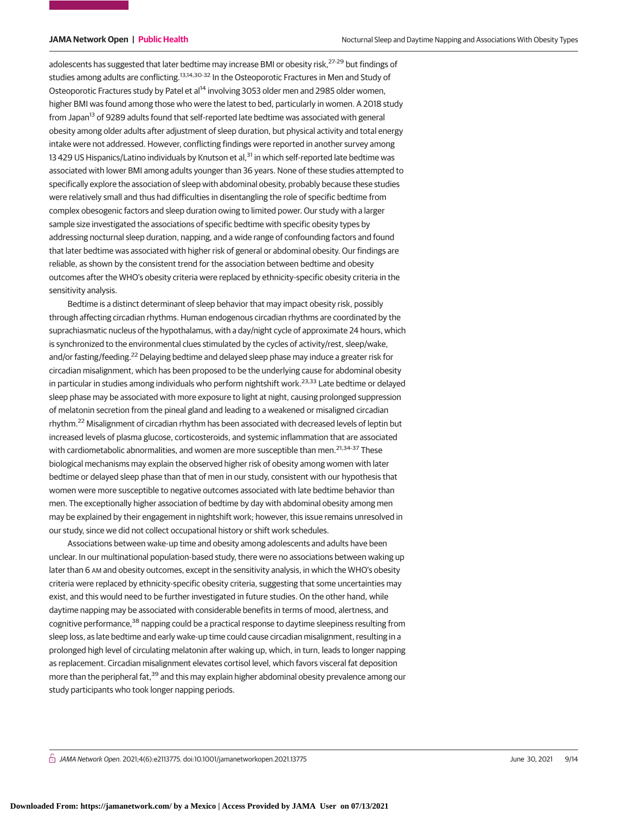adolescents has suggested that later bedtime may increase BMI or obesity risk,<sup>27-29</sup> but findings of studies among adults are conflicting.<sup>13,14,30-32</sup> In the Osteoporotic Fractures in Men and Study of Osteoporotic Fractures study by Patel et al<sup>14</sup> involving 3053 older men and 2985 older women, higher BMI was found among those who were the latest to bed, particularly in women. A 2018 study from Japan<sup>13</sup> of 9289 adults found that self-reported late bedtime was associated with general obesity among older adults after adjustment of sleep duration, but physical activity and total energy intake were not addressed. However, conflicting findings were reported in another survey among 13 429 US Hispanics/Latino individuals by Knutson et al,<sup>31</sup> in which self-reported late bedtime was associated with lower BMI among adults younger than 36 years. None of these studies attempted to specifically explore the association of sleep with abdominal obesity, probably because these studies were relatively small and thus had difficulties in disentangling the role of specific bedtime from complex obesogenic factors and sleep duration owing to limited power. Our study with a larger sample size investigated the associations of specific bedtime with specific obesity types by addressing nocturnal sleep duration, napping, and a wide range of confounding factors and found that later bedtime was associated with higher risk of general or abdominal obesity. Our findings are reliable, as shown by the consistent trend for the association between bedtime and obesity outcomes after the WHO's obesity criteria were replaced by ethnicity-specific obesity criteria in the sensitivity analysis.

Bedtime is a distinct determinant of sleep behavior that may impact obesity risk, possibly through affecting circadian rhythms. Human endogenous circadian rhythms are coordinated by the suprachiasmatic nucleus of the hypothalamus, with a day/night cycle of approximate 24 hours, which is synchronized to the environmental clues stimulated by the cycles of activity/rest, sleep/wake, and/or fasting/feeding.<sup>22</sup> Delaying bedtime and delayed sleep phase may induce a greater risk for circadian misalignment, which has been proposed to be the underlying cause for abdominal obesity in particular in studies among individuals who perform nightshift work.<sup>23,33</sup> Late bedtime or delayed sleep phase may be associated with more exposure to light at night, causing prolonged suppression of melatonin secretion from the pineal gland and leading to a weakened or misaligned circadian rhythm.<sup>22</sup> Misalignment of circadian rhythm has been associated with decreased levels of leptin but increased levels of plasma glucose, corticosteroids, and systemic inflammation that are associated with cardiometabolic abnormalities, and women are more susceptible than men.<sup>21,34-37</sup> These biological mechanisms may explain the observed higher risk of obesity among women with later bedtime or delayed sleep phase than that of men in our study, consistent with our hypothesis that women were more susceptible to negative outcomes associated with late bedtime behavior than men. The exceptionally higher association of bedtime by day with abdominal obesity among men may be explained by their engagement in nightshift work; however, this issue remains unresolved in our study, since we did not collect occupational history or shift work schedules.

Associations between wake-up time and obesity among adolescents and adults have been unclear. In our multinational population-based study, there were no associations between waking up later than 6 AM and obesity outcomes, except in the sensitivity analysis, in which the WHO's obesity criteria were replaced by ethnicity-specific obesity criteria, suggesting that some uncertainties may exist, and this would need to be further investigated in future studies. On the other hand, while daytime napping may be associated with considerable benefits in terms of mood, alertness, and cognitive performance,<sup>38</sup> napping could be a practical response to daytime sleepiness resulting from sleep loss, as late bedtime and early wake-up time could cause circadian misalignment, resulting in a prolonged high level of circulating melatonin after waking up, which, in turn, leads to longer napping as replacement. Circadian misalignment elevates cortisol level, which favors visceral fat deposition more than the peripheral fat,<sup>39</sup> and this may explain higher abdominal obesity prevalence among our study participants who took longer napping periods.

 $\bigcap$  JAMA Network Open. 2021;4(6):e2113775. doi:10.1001/jamanetworkopen.2021.13775 (Alexandre) June 30, 2021 9/14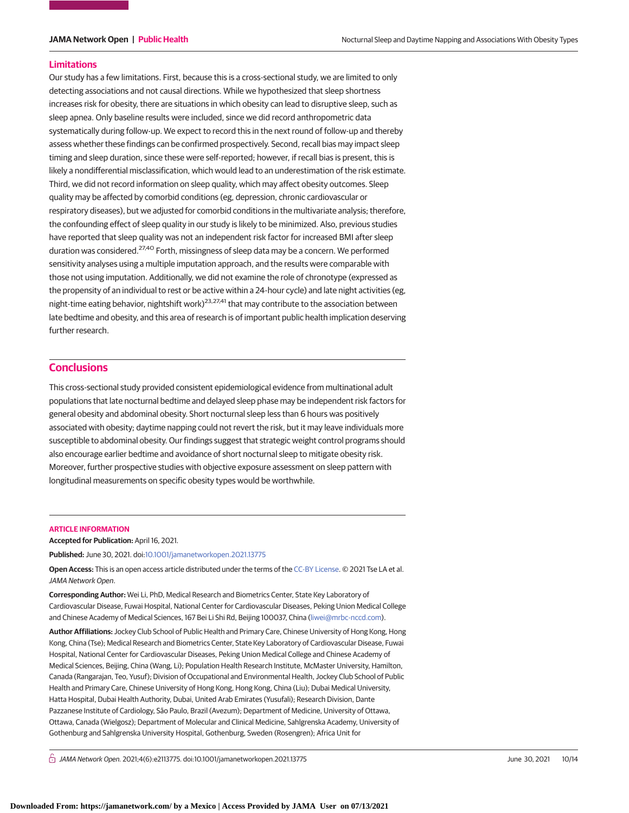### **Limitations**

Our study has a few limitations. First, because this is a cross-sectional study, we are limited to only detecting associations and not causal directions. While we hypothesized that sleep shortness increases risk for obesity, there are situations in which obesity can lead to disruptive sleep, such as sleep apnea. Only baseline results were included, since we did record anthropometric data systematically during follow-up. We expect to record this in the next round of follow-up and thereby assess whether these findings can be confirmed prospectively. Second, recall bias may impact sleep timing and sleep duration, since these were self-reported; however, if recall bias is present, this is likely a nondifferential misclassification, which would lead to an underestimation of the risk estimate. Third, we did not record information on sleep quality, which may affect obesity outcomes. Sleep quality may be affected by comorbid conditions (eg, depression, chronic cardiovascular or respiratory diseases), but we adjusted for comorbid conditions in the multivariate analysis; therefore, the confounding effect of sleep quality in our study is likely to be minimized. Also, previous studies have reported that sleep quality was not an independent risk factor for increased BMI after sleep duration was considered.<sup>27,40</sup> Forth, missingness of sleep data may be a concern. We performed sensitivity analyses using a multiple imputation approach, and the results were comparable with those not using imputation. Additionally, we did not examine the role of chronotype (expressed as the propensity of an individual to rest or be active within a 24-hour cycle) and late night activities (eg, night-time eating behavior, nightshift work)<sup>23,27,41</sup> that may contribute to the association between late bedtime and obesity, and this area of research is of important public health implication deserving further research.

# **Conclusions**

This cross-sectional study provided consistent epidemiological evidence from multinational adult populations that late nocturnal bedtime and delayed sleep phase may be independent risk factors for general obesity and abdominal obesity. Short nocturnal sleep less than 6 hours was positively associated with obesity; daytime napping could not revert the risk, but it may leave individuals more susceptible to abdominal obesity. Our findings suggest that strategic weight control programs should also encourage earlier bedtime and avoidance of short nocturnal sleep to mitigate obesity risk. Moreover, further prospective studies with objective exposure assessment on sleep pattern with longitudinal measurements on specific obesity types would be worthwhile.

### **ARTICLE INFORMATION**

**Accepted for Publication:** April 16, 2021.

**Published:** June 30, 2021. doi[:10.1001/jamanetworkopen.2021.13775](https://jama.jamanetwork.com/article.aspx?doi=10.1001/jamanetworkopen.2021.13775&utm_campaign=articlePDF%26utm_medium=articlePDFlink%26utm_source=articlePDF%26utm_content=jamanetworkopen.2021.13775)

**Open Access:** This is an open access article distributed under the terms of the [CC-BY License.](https://jamanetwork.com/pages/cc-by-license-permissions/?utm_campaign=articlePDF%26utm_medium=articlePDFlink%26utm_source=articlePDF%26utm_content=jamanetworkopen.2021.13775) © 2021 Tse LA et al. JAMA Network Open.

**Corresponding Author:** Wei Li, PhD, Medical Research and Biometrics Center, State Key Laboratory of Cardiovascular Disease, Fuwai Hospital, National Center for Cardiovascular Diseases, Peking Union Medical College and Chinese Academy of Medical Sciences, 167 Bei Li Shi Rd, Beijing 100037, China [\(liwei@mrbc-nccd.com\)](mailto:liwei@mrbc-nccd.com).

**Author Affiliations:** Jockey Club School of Public Health and Primary Care, Chinese University of Hong Kong, Hong Kong, China (Tse); Medical Research and Biometrics Center, State Key Laboratory of Cardiovascular Disease, Fuwai Hospital, National Center for Cardiovascular Diseases, Peking Union Medical College and Chinese Academy of Medical Sciences, Beijing, China (Wang, Li); Population Health Research Institute, McMaster University, Hamilton, Canada (Rangarajan, Teo, Yusuf); Division of Occupational and Environmental Health, Jockey Club School of Public Health and Primary Care, Chinese University of Hong Kong, Hong Kong, China (Liu); Dubai Medical University, Hatta Hospital, Dubai Health Authority, Dubai, United Arab Emirates (Yusufali); Research Division, Dante Pazzanese Institute of Cardiology, São Paulo, Brazil (Avezum); Department of Medicine, University of Ottawa, Ottawa, Canada (Wielgosz); Department of Molecular and Clinical Medicine, Sahlgrenska Academy, University of Gothenburg and Sahlgrenska University Hospital, Gothenburg, Sweden (Rosengren); Africa Unit for

 $\bigcap$  JAMA Network Open. 2021;4(6):e2113775. doi:10.1001/jamanetworkopen.2021.13775 (Reprinted) June 30, 2021 10/14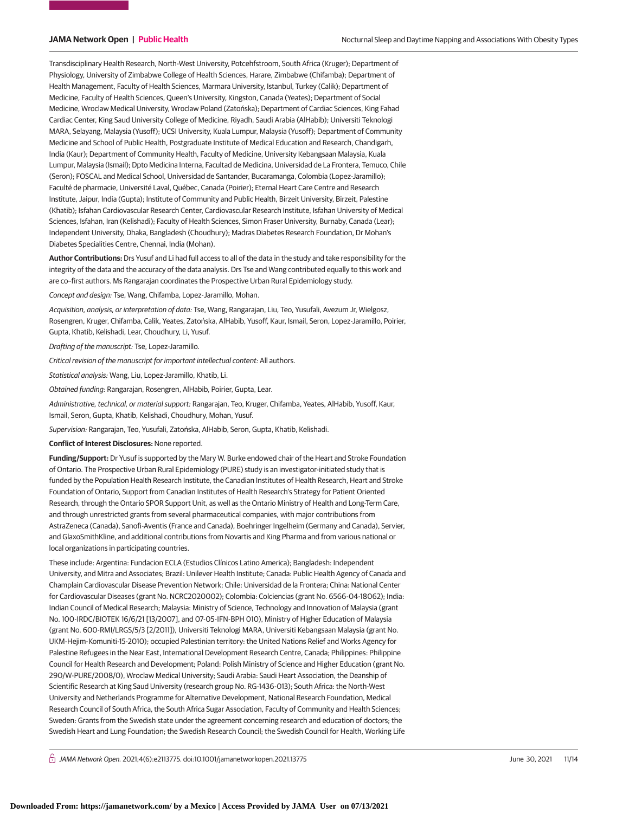Transdisciplinary Health Research, North-West University, Potcehfstroom, South Africa (Kruger); Department of Physiology, University of Zimbabwe College of Health Sciences, Harare, Zimbabwe (Chifamba); Department of Health Management, Faculty of Health Sciences, Marmara University, Istanbul, Turkey (Calik); Department of Medicine, Faculty of Health Sciences, Queen's University, Kingston, Canada (Yeates); Department of Social Medicine, Wroclaw Medical University, Wroclaw Poland (Zatońska); Department of Cardiac Sciences, King Fahad Cardiac Center, King Saud University College of Medicine, Riyadh, Saudi Arabia (AlHabib); Universiti Teknologi MARA, Selayang, Malaysia (Yusoff); UCSI University, Kuala Lumpur, Malaysia (Yusoff); Department of Community Medicine and School of Public Health, Postgraduate Institute of Medical Education and Research, Chandigarh, India (Kaur); Department of Community Health, Faculty of Medicine, University Kebangsaan Malaysia, Kuala Lumpur, Malaysia (Ismail); Dpto Medicina Interna, Facultad de Medicina, Universidad de La Frontera, Temuco, Chile (Seron); FOSCAL and Medical School, Universidad de Santander, Bucaramanga, Colombia (Lopez-Jaramillo); Faculté de pharmacie, Université Laval, Québec, Canada (Poirier); Eternal Heart Care Centre and Research Institute, Jaipur, India (Gupta); Institute of Community and Public Health, Birzeit University, Birzeit, Palestine (Khatib); Isfahan Cardiovascular Research Center, Cardiovascular Research Institute, Isfahan University of Medical Sciences, Isfahan, Iran (Kelishadi); Faculty of Health Sciences, Simon Fraser University, Burnaby, Canada (Lear); Independent University, Dhaka, Bangladesh (Choudhury); Madras Diabetes Research Foundation, Dr Mohan's Diabetes Specialities Centre, Chennai, India (Mohan).

**Author Contributions:** Drs Yusuf and Li had full access to all of the data in the study and take responsibility for the integrity of the data and the accuracy of the data analysis. Drs Tse and Wang contributed equally to this work and are co–first authors. Ms Rangarajan coordinates the Prospective Urban Rural Epidemiology study.

Concept and design: Tse, Wang, Chifamba, Lopez-Jaramillo, Mohan.

Acquisition, analysis, or interpretation of data: Tse, Wang, Rangarajan, Liu, Teo, Yusufali, Avezum Jr, Wielgosz, Rosengren, Kruger, Chifamba, Calik, Yeates, Zatońska, AlHabib, Yusoff, Kaur, Ismail, Seron, Lopez-Jaramillo, Poirier, Gupta, Khatib, Kelishadi, Lear, Choudhury, Li, Yusuf.

Drafting of the manuscript: Tse, Lopez-Jaramillo.

Critical revision of the manuscript for important intellectual content: All authors.

Statistical analysis: Wang, Liu, Lopez-Jaramillo, Khatib, Li.

Obtained funding: Rangarajan, Rosengren, AlHabib, Poirier, Gupta, Lear.

Administrative, technical, or material support: Rangarajan, Teo, Kruger, Chifamba, Yeates, AlHabib, Yusoff, Kaur, Ismail, Seron, Gupta, Khatib, Kelishadi, Choudhury, Mohan, Yusuf.

Supervision: Rangarajan, Teo, Yusufali, Zatońska, AlHabib, Seron, Gupta, Khatib, Kelishadi.

**Conflict of Interest Disclosures:** None reported.

**Funding/Support:** Dr Yusuf is supported by the Mary W. Burke endowed chair of the Heart and Stroke Foundation of Ontario. The Prospective Urban Rural Epidemiology (PURE) study is an investigator-initiated study that is funded by the Population Health Research Institute, the Canadian Institutes of Health Research, Heart and Stroke Foundation of Ontario, Support from Canadian Institutes of Health Research's Strategy for Patient Oriented Research, through the Ontario SPOR Support Unit, as well as the Ontario Ministry of Health and Long-Term Care, and through unrestricted grants from several pharmaceutical companies, with major contributions from AstraZeneca (Canada), Sanofi-Aventis (France and Canada), Boehringer Ingelheim (Germany and Canada), Servier, and GlaxoSmithKline, and additional contributions from Novartis and King Pharma and from various national or local organizations in participating countries.

These include: Argentina: Fundacion ECLA (Estudios Clínicos Latino America); Bangladesh: Independent University, and Mitra and Associates; Brazil: Unilever Health Institute; Canada: Public Health Agency of Canada and Champlain Cardiovascular Disease Prevention Network; Chile: Universidad de la Frontera; China: National Center for Cardiovascular Diseases (grant No. NCRC2020002); Colombia: Colciencias (grant No. 6566-04-18062); India: Indian Council of Medical Research; Malaysia: Ministry of Science, Technology and Innovation of Malaysia (grant No. 100-IRDC/BIOTEK 16/6/21 [13/2007], and 07-05-IFN-BPH 010), Ministry of Higher Education of Malaysia (grant No. 600-RMI/LRGS/5/3 [2/2011]), Universiti Teknologi MARA, Universiti Kebangsaan Malaysia (grant No. UKM-Hejim-Komuniti-15-2010); occupied Palestinian territory: the United Nations Relief and Works Agency for Palestine Refugees in the Near East, International Development Research Centre, Canada; Philippines: Philippine Council for Health Research and Development; Poland: Polish Ministry of Science and Higher Education (grant No. 290/W-PURE/2008/0), Wroclaw Medical University; Saudi Arabia: Saudi Heart Association, the Deanship of Scientific Research at King Saud University (research group No. RG-1436-013); South Africa: the North-West University and Netherlands Programme for Alternative Development, National Research Foundation, Medical Research Council of South Africa, the South Africa Sugar Association, Faculty of Community and Health Sciences; Sweden: Grants from the Swedish state under the agreement concerning research and education of doctors; the Swedish Heart and Lung Foundation; the Swedish Research Council; the Swedish Council for Health, Working Life

 $\bigcap$  JAMA Network Open. 2021;4(6):e2113775. doi:10.1001/jamanetworkopen.2021.13775 (Reprinted) June 30, 2021 11/14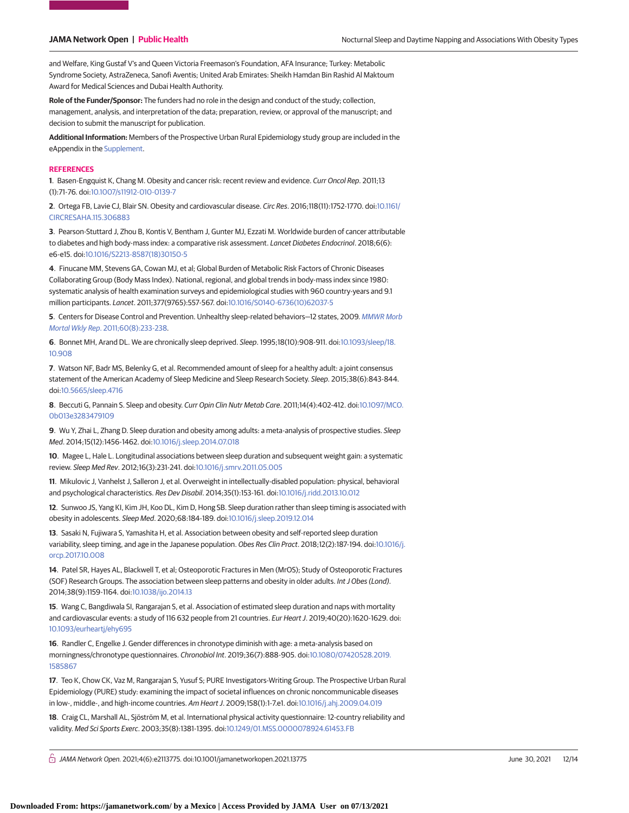and Welfare, King Gustaf V's and Queen Victoria Freemason's Foundation, AFA Insurance; Turkey: Metabolic Syndrome Society, AstraZeneca, Sanofi Aventis; United Arab Emirates: Sheikh Hamdan Bin Rashid Al Maktoum Award for Medical Sciences and Dubai Health Authority.

**Role of the Funder/Sponsor:** The funders had no role in the design and conduct of the study; collection, management, analysis, and interpretation of the data; preparation, review, or approval of the manuscript; and decision to submit the manuscript for publication.

**Additional Information:** Members of the Prospective Urban Rural Epidemiology study group are included in the eAppendix in the [Supplement.](https://jama.jamanetwork.com/article.aspx?doi=10.1001/jamanetworkopen.2021.13775&utm_campaign=articlePDF%26utm_medium=articlePDFlink%26utm_source=articlePDF%26utm_content=jamanetworkopen.2021.13775)

### **REFERENCES**

**1**. Basen-Engquist K, Chang M. Obesity and cancer risk: recent review and evidence. Curr Oncol Rep. 2011;13 (1):71-76. doi[:10.1007/s11912-010-0139-7](https://dx.doi.org/10.1007/s11912-010-0139-7)

**2**. Ortega FB, Lavie CJ, Blair SN. Obesity and cardiovascular disease. Circ Res. 2016;118(11):1752-1770. doi[:10.1161/](https://dx.doi.org/10.1161/CIRCRESAHA.115.306883) [CIRCRESAHA.115.306883](https://dx.doi.org/10.1161/CIRCRESAHA.115.306883)

**3**. Pearson-Stuttard J, Zhou B, Kontis V, Bentham J, Gunter MJ, Ezzati M. Worldwide burden of cancer attributable to diabetes and high body-mass index: a comparative risk assessment. Lancet Diabetes Endocrinol. 2018;6(6): e6-e15. doi[:10.1016/S2213-8587\(18\)30150-5](https://dx.doi.org/10.1016/S2213-8587(18)30150-5)

**4**. Finucane MM, Stevens GA, Cowan MJ, et al; Global Burden of Metabolic Risk Factors of Chronic Diseases Collaborating Group (Body Mass Index). National, regional, and global trends in body-mass index since 1980: systematic analysis of health examination surveys and epidemiological studies with 960 country-years and 9.1 million participants. Lancet. 2011;377(9765):557-567. doi[:10.1016/S0140-6736\(10\)62037-5](https://dx.doi.org/10.1016/S0140-6736(10)62037-5)

**5**. Centers for Disease Control and Prevention. Unhealthy sleep-related behaviors—12 states, 2009. [MMWR Morb](https://www.ncbi.nlm.nih.gov/pubmed/21368738) Mortal Wkly Rep[. 2011;60\(8\):233-238.](https://www.ncbi.nlm.nih.gov/pubmed/21368738)

**6**. Bonnet MH, Arand DL. We are chronically sleep deprived. Sleep. 1995;18(10):908-911. doi[:10.1093/sleep/18.](https://dx.doi.org/10.1093/sleep/18.10.908) [10.908](https://dx.doi.org/10.1093/sleep/18.10.908)

**7**. Watson NF, Badr MS, Belenky G, et al. Recommended amount of sleep for a healthy adult: a joint consensus statement of the American Academy of Sleep Medicine and Sleep Research Society. Sleep. 2015;38(6):843-844. doi[:10.5665/sleep.4716](https://dx.doi.org/10.5665/sleep.4716)

**8**. Beccuti G, Pannain S. Sleep and obesity. Curr Opin Clin Nutr Metab Care. 2011;14(4):402-412. doi[:10.1097/MCO.](https://dx.doi.org/10.1097/MCO.0b013e3283479109) [0b013e3283479109](https://dx.doi.org/10.1097/MCO.0b013e3283479109)

**9**. Wu Y, Zhai L, Zhang D. Sleep duration and obesity among adults: a meta-analysis of prospective studies. Sleep Med. 2014;15(12):1456-1462. doi[:10.1016/j.sleep.2014.07.018](https://dx.doi.org/10.1016/j.sleep.2014.07.018)

**10**. Magee L, Hale L. Longitudinal associations between sleep duration and subsequent weight gain: a systematic review. Sleep Med Rev. 2012;16(3):231-241. doi[:10.1016/j.smrv.2011.05.005](https://dx.doi.org/10.1016/j.smrv.2011.05.005)

**11**. Mikulovic J, Vanhelst J, Salleron J, et al. Overweight in intellectually-disabled population: physical, behavioral and psychological characteristics. Res Dev Disabil. 2014;35(1):153-161. doi[:10.1016/j.ridd.2013.10.012](https://dx.doi.org/10.1016/j.ridd.2013.10.012)

**12**. Sunwoo JS, Yang KI, Kim JH, Koo DL, Kim D, Hong SB. Sleep duration rather than sleep timing is associated with obesity in adolescents. Sleep Med. 2020;68:184-189. doi[:10.1016/j.sleep.2019.12.014](https://dx.doi.org/10.1016/j.sleep.2019.12.014)

**13**. Sasaki N, Fujiwara S, Yamashita H, et al. Association between obesity and self-reported sleep duration variability, sleep timing, and age in the Japanese population. Obes Res Clin Pract. 2018;12(2):187-194. doi[:10.1016/j.](https://dx.doi.org/10.1016/j.orcp.2017.10.008) [orcp.2017.10.008](https://dx.doi.org/10.1016/j.orcp.2017.10.008)

**14**. Patel SR, Hayes AL, Blackwell T, et al; Osteoporotic Fractures in Men (MrOS); Study of Osteoporotic Fractures (SOF) Research Groups. The association between sleep patterns and obesity in older adults. Int J Obes (Lond). 2014;38(9):1159-1164. doi[:10.1038/ijo.2014.13](https://dx.doi.org/10.1038/ijo.2014.13)

**15**. Wang C, Bangdiwala SI, Rangarajan S, et al. Association of estimated sleep duration and naps with mortality and cardiovascular events: a study of 116 632 people from 21 countries. Eur Heart J. 2019;40(20):1620-1629. doi: [10.1093/eurheartj/ehy695](https://dx.doi.org/10.1093/eurheartj/ehy695)

**16**. Randler C, Engelke J. Gender differences in chronotype diminish with age: a meta-analysis based on morningness/chronotype questionnaires. Chronobiol Int. 2019;36(7):888-905. doi[:10.1080/07420528.2019.](https://dx.doi.org/10.1080/07420528.2019.1585867) [1585867](https://dx.doi.org/10.1080/07420528.2019.1585867)

**17**. Teo K, Chow CK, Vaz M, Rangarajan S, Yusuf S; PURE Investigators-Writing Group. The Prospective Urban Rural Epidemiology (PURE) study: examining the impact of societal influences on chronic noncommunicable diseases in low-, middle-, and high-income countries. Am Heart J. 2009;158(1):1-7.e1. doi[:10.1016/j.ahj.2009.04.019](https://dx.doi.org/10.1016/j.ahj.2009.04.019)

**18**. Craig CL, Marshall AL, Sjöström M, et al. International physical activity questionnaire: 12-country reliability and validity. Med Sci Sports Exerc. 2003;35(8):1381-1395. doi[:10.1249/01.MSS.0000078924.61453.FB](https://dx.doi.org/10.1249/01.MSS.0000078924.61453.FB)

 $\bigcap$  JAMA Network Open. 2021;4(6):e2113775. doi:10.1001/jamanetworkopen.2021.13775 (Reprinted) June 30, 2021 12/14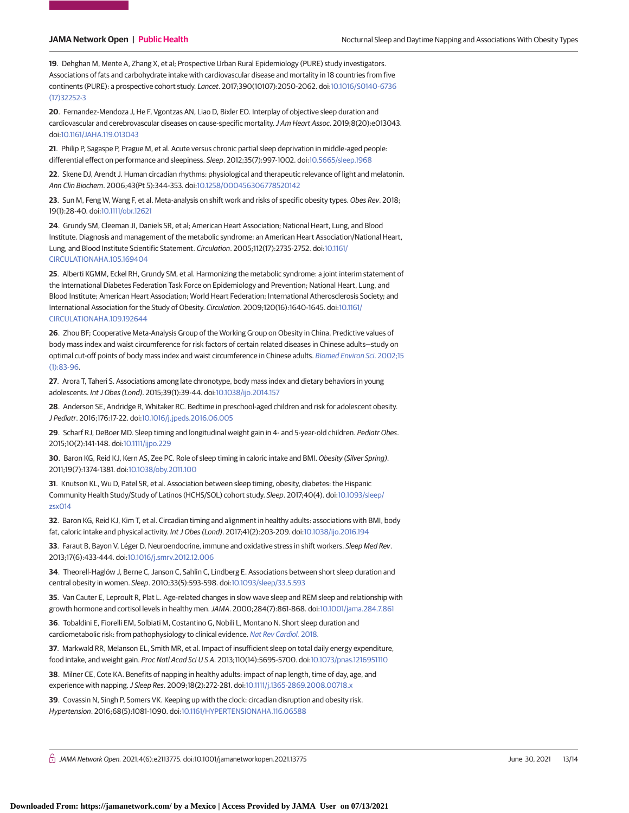**19**. Dehghan M, Mente A, Zhang X, et al; Prospective Urban Rural Epidemiology (PURE) study investigators. Associations of fats and carbohydrate intake with cardiovascular disease and mortality in 18 countries from five continents (PURE): a prospective cohort study. Lancet. 2017;390(10107):2050-2062. doi[:10.1016/S0140-6736](https://dx.doi.org/10.1016/S0140-6736(17)32252-3) [\(17\)32252-3](https://dx.doi.org/10.1016/S0140-6736(17)32252-3)

**20**. Fernandez-Mendoza J, He F, Vgontzas AN, Liao D, Bixler EO. Interplay of objective sleep duration and cardiovascular and cerebrovascular diseases on cause-specific mortality.J Am Heart Assoc. 2019;8(20):e013043. doi[:10.1161/JAHA.119.013043](https://dx.doi.org/10.1161/JAHA.119.013043)

**21**. Philip P, Sagaspe P, Prague M, et al. Acute versus chronic partial sleep deprivation in middle-aged people: differential effect on performance and sleepiness. Sleep. 2012;35(7):997-1002. doi[:10.5665/sleep.1968](https://dx.doi.org/10.5665/sleep.1968)

**22**. Skene DJ, Arendt J. Human circadian rhythms: physiological and therapeutic relevance of light and melatonin. Ann Clin Biochem. 2006;43(Pt 5):344-353. doi[:10.1258/000456306778520142](https://dx.doi.org/10.1258/000456306778520142)

**23**. Sun M, Feng W, Wang F, et al. Meta-analysis on shift work and risks of specific obesity types. Obes Rev. 2018; 19(1):28-40. doi[:10.1111/obr.12621](https://dx.doi.org/10.1111/obr.12621)

**24**. Grundy SM, Cleeman JI, Daniels SR, et al; American Heart Association; National Heart, Lung, and Blood Institute. Diagnosis and management of the metabolic syndrome: an American Heart Association/National Heart, Lung, and Blood Institute Scientific Statement. Circulation. 2005;112(17):2735-2752. doi[:10.1161/](https://dx.doi.org/10.1161/CIRCULATIONAHA.105.169404) [CIRCULATIONAHA.105.169404](https://dx.doi.org/10.1161/CIRCULATIONAHA.105.169404)

**25**. Alberti KGMM, Eckel RH, Grundy SM, et al. Harmonizing the metabolic syndrome: a joint interim statement of the International Diabetes Federation Task Force on Epidemiology and Prevention; National Heart, Lung, and Blood Institute; American Heart Association; World Heart Federation; International Atherosclerosis Society; and International Association for the Study of Obesity. Circulation. 2009;120(16):1640-1645. doi[:10.1161/](https://dx.doi.org/10.1161/CIRCULATIONAHA.109.192644) [CIRCULATIONAHA.109.192644](https://dx.doi.org/10.1161/CIRCULATIONAHA.109.192644)

**26**. Zhou BF; Cooperative Meta-Analysis Group of the Working Group on Obesity in China. Predictive values of body mass index and waist circumference for risk factors of certain related diseases in Chinese adults—study on optimal cut-off points of body mass index and waist circumference in Chinese adults. [Biomed Environ Sci](https://www.ncbi.nlm.nih.gov/pubmed/12046553). 2002;15 [\(1\):83-96.](https://www.ncbi.nlm.nih.gov/pubmed/12046553)

**27**. Arora T, Taheri S. Associations among late chronotype, body mass index and dietary behaviors in young adolescents. Int J Obes (Lond). 2015;39(1):39-44. doi[:10.1038/ijo.2014.157](https://dx.doi.org/10.1038/ijo.2014.157)

**28**. Anderson SE, Andridge R, Whitaker RC. Bedtime in preschool-aged children and risk for adolescent obesity. J Pediatr. 2016;176:17-22. doi[:10.1016/j.jpeds.2016.06.005](https://dx.doi.org/10.1016/j.jpeds.2016.06.005)

**29**. Scharf RJ, DeBoer MD. Sleep timing and longitudinal weight gain in 4- and 5-year-old children. Pediatr Obes. 2015;10(2):141-148. doi[:10.1111/ijpo.229](https://dx.doi.org/10.1111/ijpo.229)

**30**. Baron KG, Reid KJ, Kern AS, Zee PC. Role of sleep timing in caloric intake and BMI. Obesity (Silver Spring). 2011;19(7):1374-1381. doi[:10.1038/oby.2011.100](https://dx.doi.org/10.1038/oby.2011.100)

**31**. Knutson KL, Wu D, Patel SR, et al. Association between sleep timing, obesity, diabetes: the Hispanic Community Health Study/Study of Latinos (HCHS/SOL) cohort study. Sleep. 2017;40(4). doi[:10.1093/sleep/](https://dx.doi.org/10.1093/sleep/zsx014) [zsx014](https://dx.doi.org/10.1093/sleep/zsx014)

**32**. Baron KG, Reid KJ, Kim T, et al. Circadian timing and alignment in healthy adults: associations with BMI, body fat, caloric intake and physical activity. Int J Obes (Lond). 2017;41(2):203-209. doi[:10.1038/ijo.2016.194](https://dx.doi.org/10.1038/ijo.2016.194)

**33**. Faraut B, Bayon V, Léger D. Neuroendocrine, immune and oxidative stress in shift workers. Sleep Med Rev. 2013;17(6):433-444. doi[:10.1016/j.smrv.2012.12.006](https://dx.doi.org/10.1016/j.smrv.2012.12.006)

**34**. Theorell-Haglöw J, Berne C, Janson C, Sahlin C, Lindberg E. Associations between short sleep duration and central obesity in women. Sleep. 2010;33(5):593-598. doi[:10.1093/sleep/33.5.593](https://dx.doi.org/10.1093/sleep/33.5.593)

**35**. Van Cauter E, Leproult R, Plat L. Age-related changes in slow wave sleep and REM sleep and relationship with growth hormone and cortisol levels in healthy men.JAMA. 2000;284(7):861-868. doi[:10.1001/jama.284.7.861](https://jama.jamanetwork.com/article.aspx?doi=10.1001/jama.284.7.861&utm_campaign=articlePDF%26utm_medium=articlePDFlink%26utm_source=articlePDF%26utm_content=jamanetworkopen.2021.13775)

**36**. Tobaldini E, Fiorelli EM, Solbiati M, Costantino G, Nobili L, Montano N. Short sleep duration and cardiometabolic risk: from pathophysiology to clinical evidence. [Nat Rev Cardiol.](https://www.ncbi.nlm.nih.gov/pubmed/30410106) 2018.

**37**[. Markwald RR, Melanson EL, Smith MR, et al. Impact of insufficient sleep on total daily energy expenditure,](https://www.ncbi.nlm.nih.gov/pubmed/30410106) food intake, and weight gain. Proc Natl Acad SciUSA. 2013;110(14):5695-5700. doi[:10.1073/pnas.1216951110](https://dx.doi.org/10.1073/pnas.1216951110)

**38**. Milner CE, Cote KA. Benefits of napping in healthy adults: impact of nap length, time of day, age, and experience with napping. J Sleep Res. 2009;18(2):272-281. doi[:10.1111/j.1365-2869.2008.00718.x](https://dx.doi.org/10.1111/j.1365-2869.2008.00718.x)

**39**. Covassin N, Singh P, Somers VK. Keeping up with the clock: circadian disruption and obesity risk. Hypertension. 2016;68(5):1081-1090. doi[:10.1161/HYPERTENSIONAHA.116.06588](https://dx.doi.org/10.1161/HYPERTENSIONAHA.116.06588)

 $\bigcap$  JAMA Network Open. 2021;4(6):e2113775. doi:10.1001/jamanetworkopen.2021.13775 (Reprinted) June 30, 2021 13/14